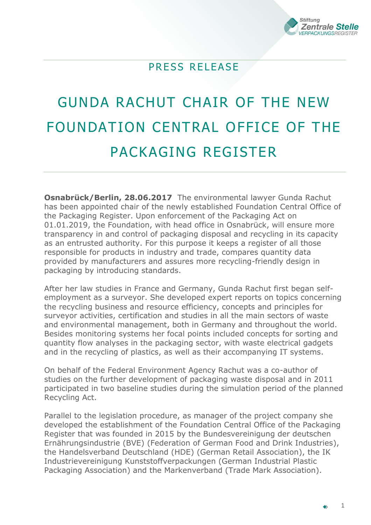

## PRESS RELEASE

## GUNDA RACHUT CHAIR OF THE NEW FOUNDATION CENTRAL OFFICE OF THE PACKAGING REGISTER

**Osnabrück/Berlin, 28.06.2017** The environmental lawyer Gunda Rachut has been appointed chair of the newly established Foundation Central Office of the Packaging Register. Upon enforcement of the Packaging Act on 01.01.2019, the Foundation, with head office in Osnabrück, will ensure more transparency in and control of packaging disposal and recycling in its capacity as an entrusted authority. For this purpose it keeps a register of all those responsible for products in industry and trade, compares quantity data provided by manufacturers and assures more recycling-friendly design in packaging by introducing standards.

After her law studies in France and Germany, Gunda Rachut first began selfemployment as a surveyor. She developed expert reports on topics concerning the recycling business and resource efficiency, concepts and principles for surveyor activities, certification and studies in all the main sectors of waste and environmental management, both in Germany and throughout the world. Besides monitoring systems her focal points included concepts for sorting and quantity flow analyses in the packaging sector, with waste electrical gadgets and in the recycling of plastics, as well as their accompanying IT systems.

On behalf of the Federal Environment Agency Rachut was a co-author of studies on the further development of packaging waste disposal and in 2011 participated in two baseline studies during the simulation period of the planned Recycling Act.

Parallel to the legislation procedure, as manager of the project company she developed the establishment of the Foundation Central Office of the Packaging Register that was founded in 2015 by the Bundesvereinigung der deutschen Ernährungsindustrie (BVE) (Federation of German Food and Drink Industries), the Handelsverband Deutschland (HDE) (German Retail Association), the IK Industrievereinigung Kunststoffverpackungen (German Industrial Plastic Packaging Association) and the Markenverband (Trade Mark Association).

1